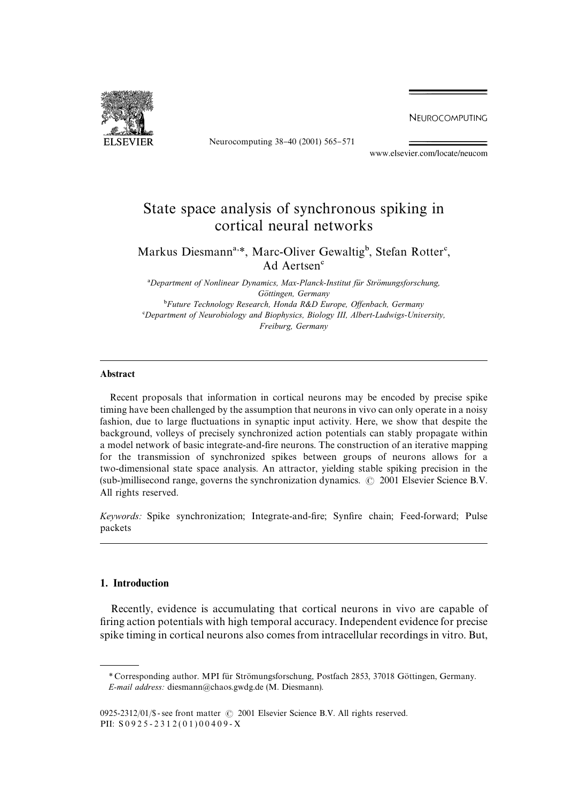NEUROCOMPUTING



Neurocomputing 38-40 (2001) 565-571

www.elsevier.com/locate/neucom

# State space analysis of synchronous spiking in cortical neural networks

Markus Diesmann<sup>a,\*</sup>, Marc-Oliver Gewaltig<sup>b</sup>, Stefan Rotter<sup>c</sup>, Ad Aertsen

<sup>a</sup>Department of Nonlinear Dynamics, Max-Planck-Institut für Strömungsforschung, *Go*( *ttingen, Germany* <sup>b</sup>Future Technology Research, Honda R&D Europe, Offenbach, Germany *Department of Neurobiology and Biophysics, Biology III, Albert-Ludwigs-University, Freiburg, Germany*

### Abstract

Recent proposals that information in cortical neurons may be encoded by precise spike timing have been challenged bythe assumption that neurons in vivo can onlyoperate in a noisy fashion, due to large fluctuations in synaptic input activity. Here, we show that despite the background, volleys of precisely synchronized action potentials can stably propagate within a model network of basic integrate-and-fire neurons. The construction of an iterative mapping for the transmission of synchronized spikes between groups of neurons allows for a two-dimensional state space analysis. An attractor, yielding stable spiking precision in the (sub-)millisecond range, governs the synchronization dynamics.  $\odot$  2001 Elsevier Science B.V. All rights reserved.

*Keywords:* Spike synchronization; Integrate-and-fire; Synfire chain; Feed-forward; Pulse packets

# 1. Introduction

Recently, evidence is accumulating that cortical neurons in vivo are capable of firing action potentials with high temporal accuracy. Independent evidence for precise spike timing in cortical neurons also comes from intracellular recordings in vitro. But,

<sup>\*</sup> Corresponding author. MPI für Strömungsforschung, Postfach 2853, 37018 Göttingen, Germany. *E-mail address:* diesmann@chaos.gwdg.de (M. Diesmann).

<sup>0925-2312/01/\$ -</sup> see front matter  $\odot$  2001 Elsevier Science B.V. All rights reserved. PII: S 0 9 2 5 - 2 3 1 2 ( 0 1 ) 0 0 4 0 9 - X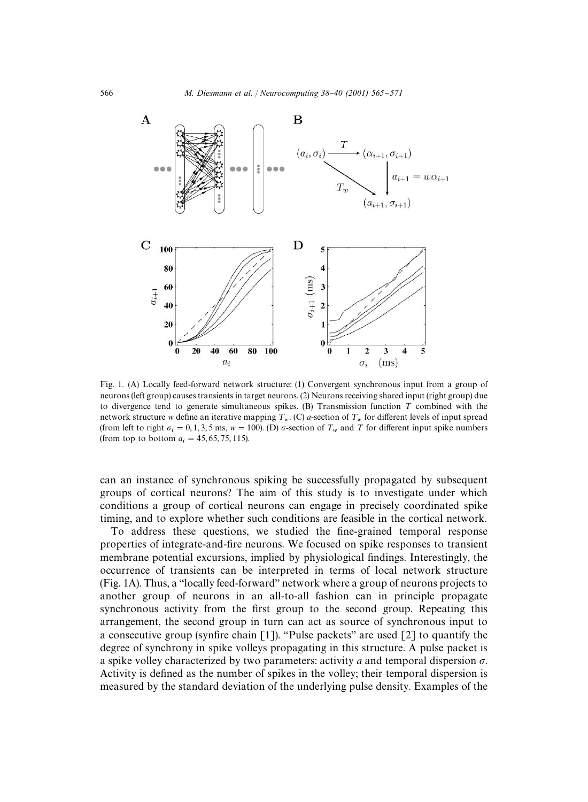

Fig. 1. (A) Locally feed-forward network structure: (1) Convergent synchronous input from a group of neurons (left group) causes transients in target neurons. (2) Neurons receiving shared input (right group) due to divergence tend to generate simultaneous spikes.  $(B)$  Transmission function T combined with the network structure *w* define an iterative mapping  $T_w$ . (C) *a*-section of  $T_w$  for different levels of input spread (from left to right  $\sigma_i = 0, 1, 3, 5$  ms,  $w = 100$ ). (D)  $\sigma$ -section of  $T_w$  and  $T$  for different input spike numbers (from top to bottom  $a_i = 45, 65, 75, 115$ ).

can an instance of synchronous spiking be successfully propagated by subsequent groups of cortical neurons? The aim of this study is to investigate under which conditions a group of cortical neurons can engage in precisely coordinated spike timing, and to explore whether such conditions are feasible in the cortical network.

To address these questions, we studied the fine-grained temporal response properties of integrate-and-fire neurons. We focused on spike responses to transient membrane potential excursions, implied by physiological findings. Interestingly, the occurrence of transients can be interpreted in terms of local network structure (Fig. 1A). Thus, a "locally feed-forward" network where a group of neurons projects to another group of neurons in an all-to-all fashion can in principle propagate synchronous activity from the first group to the second group. Repeating this arrangement, the second group in turn can act as source of synchronous input to a consecutive group (synfire chain [1]). "Pulse packets" are used [2] to quantify the degree of synchrony in spike volleys propagating in this structure. A pulse packet is a spike volley characterized by two parameters: activity *a* and temporal dispersion  $\sigma$ . Activity is defined as the number of spikes in the volley; their temporal dispersion is measured by the standard deviation of the underlying pulse density. Examples of the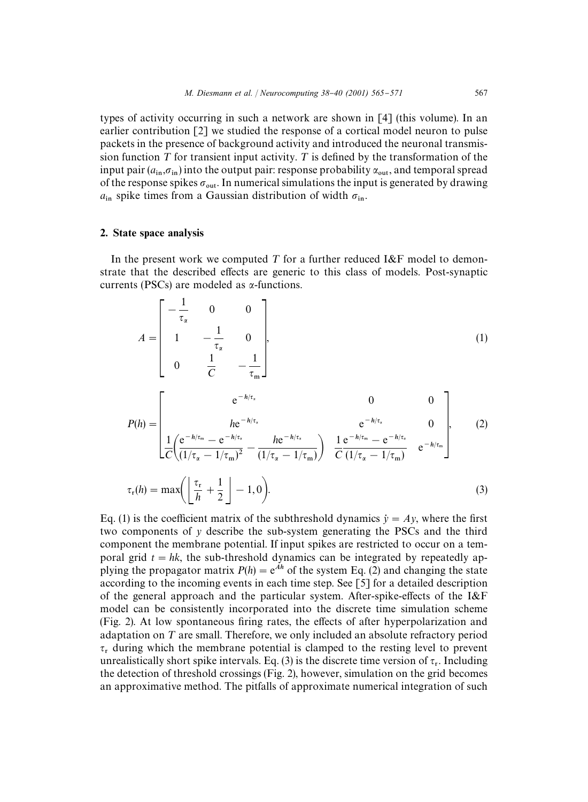types of activity occurring in such a network are shown in [4] (this volume). In an earlier contribution [2] we studied the response of a cortical model neuron to pulse packets in the presence of background activityand introduced the neuronal transmission function  $T$  for transient input activity.  $T$  is defined by the transformation of the input pair  $(a_{\text{in}}, \sigma_{\text{in}})$  into the output pair: response probability  $\alpha_{\text{out}}$ , and temporal spread of the response spikes  $\sigma_{\text{out}}$ . In numerical simulations the input is generated by drawing  $a_{\rm in}$  spike times from a Gaussian distribution of width  $\sigma_{\rm in}$ .

# 2. State space analysis

In the present work we computed T for a further reduced I&F model to demonstrate that the described effects are generic to this class of models. Post-synaptic currents (PSCs) are modeled as  $\alpha$ -functions.

$$
A = \begin{bmatrix} -\frac{1}{\tau_{\alpha}} & 0 & 0 \\ 1 & -\frac{1}{\tau_{\alpha}} & 0 \\ 0 & \frac{1}{C} & -\frac{1}{\tau_{m}} \end{bmatrix}, \qquad (1)
$$
  
\n
$$
P(h) = \begin{bmatrix} e^{-h/\tau_{\alpha}} & 0 & 0 \\ 0 & \frac{1}{C} e^{-h/\tau_{\alpha}} & 0 & 0 \\ \frac{1}{C} \left( \frac{e^{-h/\tau_{m}} - e^{-h/\tau_{\alpha}}}{(1/\tau_{\alpha} - 1/\tau_{m})^{2}} - \frac{h e^{-h/\tau_{\alpha}}}{(1/\tau_{\alpha} - 1/\tau_{m})} \right) & \frac{1}{C} \frac{e^{-h/\tau_{m}} - e^{-h/\tau_{\alpha}}}{(1/\tau_{\alpha} - 1/\tau_{m})} & e^{-h/\tau_{m}} \end{bmatrix}, \qquad (2)
$$
  
\n
$$
\tau_{r}(h) = \max \left( \frac{\tau_{r}}{h} + \frac{1}{2} \right) - 1, 0 \right). \qquad (3)
$$

Eq. (1) is the coefficient matrix of the subthreshold dynamics  $\dot{y} = Ay$ , where the first two components of *y* describe the sub-system generating the PSCs and the third component the membrane potential. If input spikes are restricted to occur on a temporal grid  $t = hk$ , the sub-threshold dynamics can be integrated by repeatedly applying the propagator matrix  $P(h) = e^{Ah}$  of the system Eq. (2) and changing the state according to the incoming events in each time step. See [5] for a detailed description of the general approach and the particular system. After-spike-effects of the  $I\&F$ model can be consistently incorporated into the discrete time simulation scheme (Fig. 2). At low spontaneous firing rates, the effects of after hyperpolarization and adaptation on  $T$  are small. Therefore, we only included an absolute refractory period  $\tau_r$  during which the membrane potential is clamped to the resting level to prevent unrealistically short spike intervals. Eq. (3) is the discrete time version of  $\tau_r$ . Including the detection of threshold crossings (Fig. 2), however, simulation on the grid becomes an approximative method. The pitfalls of approximate numerical integration of such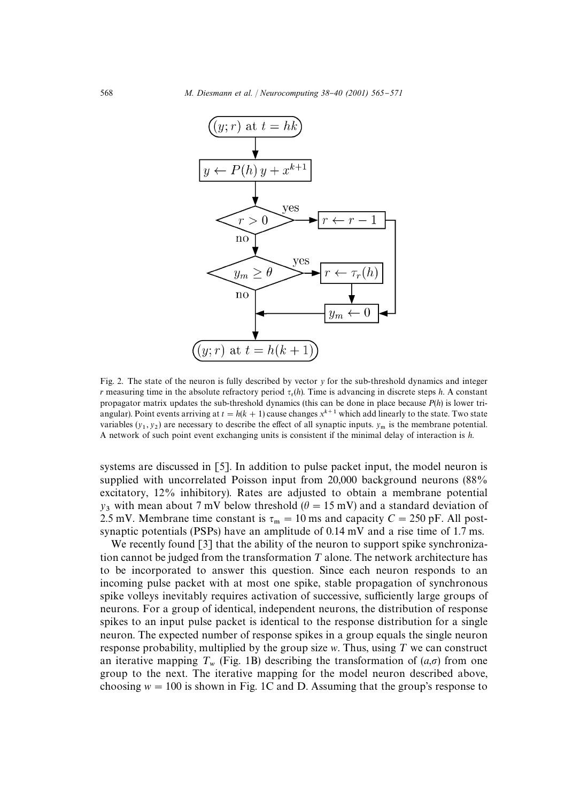

Fig. 2. The state of the neuron is fully described by vector *y* for the sub-threshold dynamics and integer *r* measuring time in the absolute refractory period  $\tau_r(h)$ . Time is advancing in discrete steps *h*. A constant propagator matrix updates the sub-threshold dynamics (this can be done in place because *P*(*h*) is lower triangular). Point events arriving at  $t = h(k + 1)$  cause changes  $x^{k+1}$  which add linearly to the state. Two state variables  $(y_1, y_2)$  are necessary to describe the effect of all synaptic inputs.  $y_m$  is the membrane potential. A network of such point event exchanging units is consistent if the minimal delayof interaction is *h*.

systems are discussed in [5]. In addition to pulse packet input, the model neuron is supplied with uncorrelated Poisson input from 20,000 background neurons (88% excitatory, 12% inhibitory). Rates are adjusted to obtain a membrane potential *y*<sub>3</sub> with mean about 7 mV below threshold ( $\theta = 15$  mV) and a standard deviation of 2.5 mV. Membrane time constant is  $\tau_m = 10$  ms and capacity  $C = 250$  pF. All postsynaptic potentials (PSPs) have an amplitude of 0.14 mV and a rise time of 1.7 ms.

We recently found [3] that the ability of the neuron to support spike synchronization cannot be judged from the transformation  $T$  alone. The network architecture has to be incorporated to answer this question. Since each neuron responds to an incoming pulse packet with at most one spike, stable propagation of synchronous spike volleys inevitably requires activation of successive, sufficiently large groups of neurons. For a group of identical, independent neurons, the distribution of response spikes to an input pulse packet is identical to the response distribution for a single neuron. The expected number of response spikes in a group equals the single neuron response probability, multiplied by the group size  $w$ . Thus, using  $T$  we can construct an iterative mapping  $T_w$  (Fig. 1B) describing the transformation of  $(a,\sigma)$  from one group to the next. The iterative mapping for the model neuron described above, choosing  $w = 100$  is shown in Fig. 1C and D. Assuming that the group's response to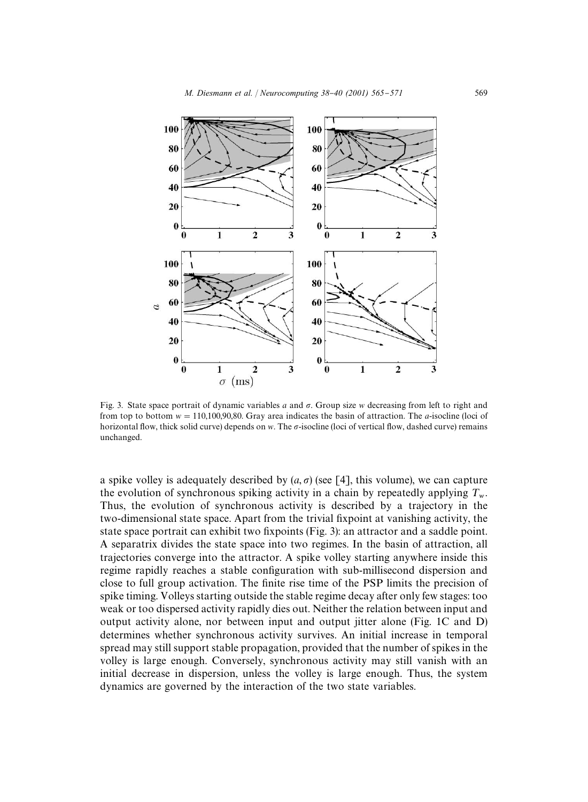

Fig. 3. State space portrait of dynamic variables *a* and  $\sigma$ . Group size *w* decreasing from left to right and from top to bottom  $w = 110,100,90,80$ . Gray area indicates the basin of attraction. The *a*-isocline (loci of horizontal flow, thick solid curve) depends on *w*. The  $\sigma$ -isocline (loci of vertical flow, dashed curve) remains unchanged.

a spike volley is adequately described by  $(a, \sigma)$  (see [4], this volume), we can capture the evolution of synchronous spiking activity in a chain by repeatedly applying  $T_w$ . Thus, the evolution of synchronous activity is described by a trajectory in the two-dimensional state space. Apart from the trivial fixpoint at vanishing activity, the state space portrait can exhibit two fixpoints (Fig. 3): an attractor and a saddle point. A separatrix divides the state space into two regimes. In the basin of attraction, all trajectories converge into the attractor. A spike volleystarting anywhere inside this regime rapidly reaches a stable configuration with sub-millisecond dispersion and close to full group activation. The finite rise time of the PSP limits the precision of spike timing. Volleys starting outside the stable regime decay after only few stages: too weak or too dispersed activity rapidly dies out. Neither the relation between input and output activityalone, nor between input and output jitter alone (Fig. 1C and D) determines whether synchronous activity survives. An initial increase in temporal spread maystill support stable propagation, provided that the number of spikes in the volley is large enough. Conversely, synchronous activity may still vanish with an initial decrease in dispersion, unless the volley is large enough. Thus, the system dynamics are governed by the interaction of the two state variables.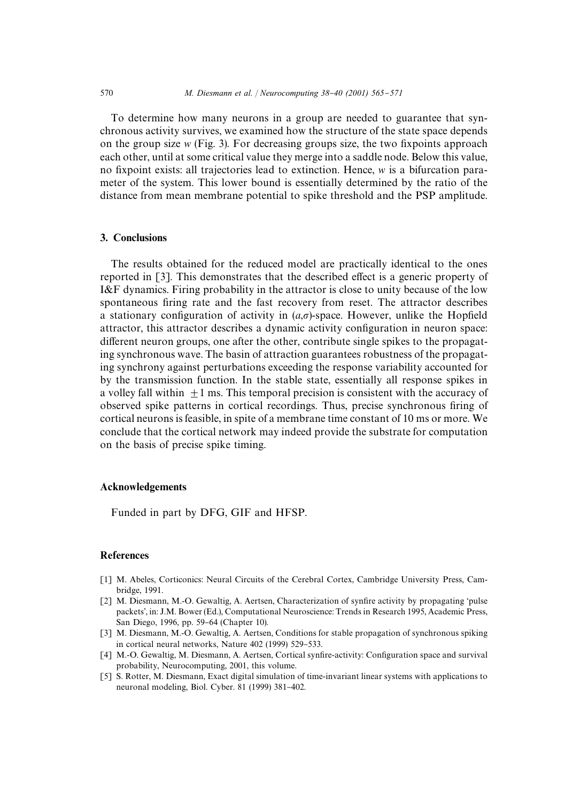To determine how many neurons in a group are needed to guarantee that synchronous activitysurvives, we examined how the structure of the state space depends on the group size  $w$  (Fig. 3). For decreasing groups size, the two fixpoints approach each other, until at some critical value theymerge into a saddle node. Below this value, no fixpoint exists: all trajectories lead to extinction. Hence, *w* is a bifurcation parameter of the system. This lower bound is essentially determined by the ratio of the distance from mean membrane potential to spike threshold and the PSP amplitude.

# 3. Conclusions

The results obtained for the reduced model are practicallyidentical to the ones reported in  $\lceil 3 \rceil$ . This demonstrates that the described effect is a generic property of I&F dynamics. Firing probability in the attractor is close to unity because of the low spontaneous firing rate and the fast recovery from reset. The attractor describes a stationary configuration of activity in  $(a,\sigma)$ -space. However, unlike the Hopfield attractor, this attractor describes a dynamic activity configuration in neuron space: different neuron groups, one after the other, contribute single spikes to the propagating synchronous wave. The basin of attraction guarantees robustness of the propagating synchrony against perturbations exceeding the response variability accounted for bythe transmission function. In the stable state, essentiallyall response spikes in a volley fall within  $+1$  ms. This temporal precision is consistent with the accuracy of observed spike patterns in cortical recordings. Thus, precise synchronous firing of cortical neurons is feasible, in spite of a membrane time constant of 10 ms or more. We conclude that the cortical network mayindeed provide the substrate for computation on the basis of precise spike timing.

# Acknowledgements

Funded in part by DFG, GIF and HFSP.

# References

- [1] M. Abeles, Corticonics: Neural Circuits of the Cerebral Cortex, Cambridge University Press, Cambridge, 1991.
- [2] M. Diesmann, M.-O. Gewaltig, A. Aertsen, Characterization of synfire activity by propagating 'pulse packets', in: J.M. Bower (Ed.), Computational Neuroscience: Trends in Research 1995, Academic Press, San Diego, 1996, pp. 59-64 (Chapter 10).
- [3] M. Diesmann, M.-O. Gewaltig, A. Aertsen, Conditions for stable propagation of synchronous spiking in cortical neural networks, Nature 402 (1999) 529-533.
- [4] M.-O. Gewaltig, M. Diesmann, A. Aertsen, Cortical synfire-activity: Configuration space and survival probability, Neurocomputing, 2001, this volume.
- [5] S. Rotter, M. Diesmann, Exact digital simulation of time-invariant linear systems with applications to neuronal modeling, Biol. Cyber. 81 (1999) 381-402.